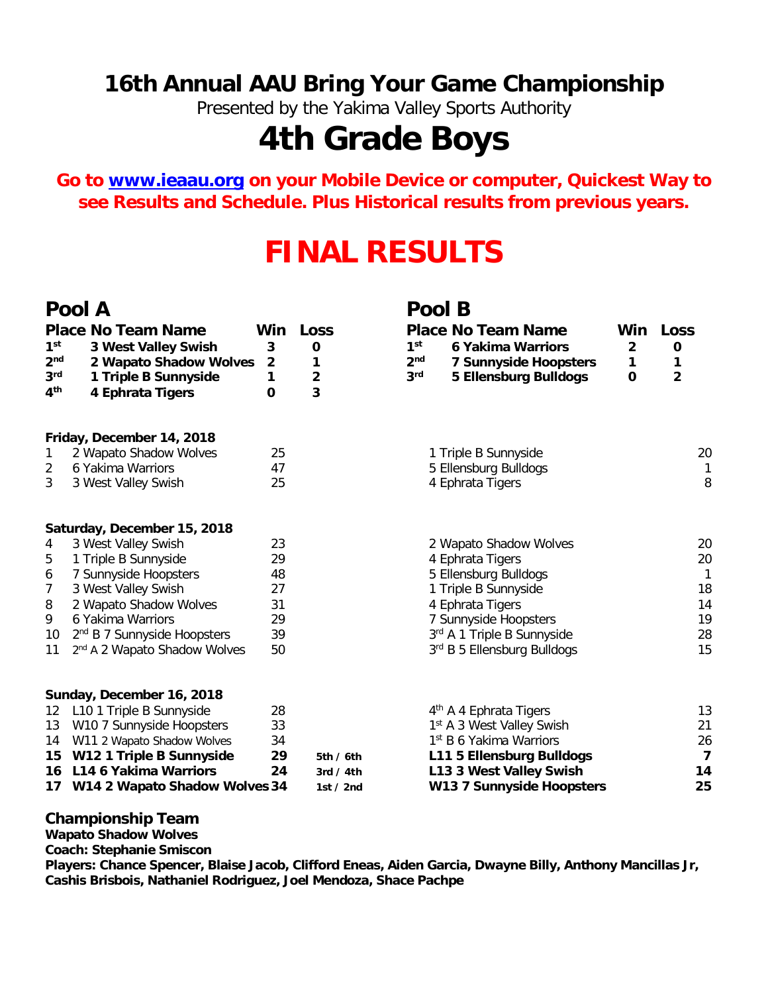### **16th Annual AAU Bring Your Game Championship**

Presented by the Yakima Valley Sports Authority

# **4th Grade Boys**

**Go to [www.ieaau.org](http://www.ieaau.org) on your Mobile Device or computer, Quickest Way to see Results and Schedule. Plus Historical results from previous years.**

## **FINAL RESULTS**

#### **Pool A Pool B**

|--|

| 1 <sup>st</sup><br>2 <sub>nd</sub><br>3 <sup>rd</sup><br>4 <sup>th</sup> | <b>Place No Team Name</b><br>3 West Valley Swish<br>2 Wapato Shadow Wolves<br>1 Triple B Sunnyside<br>4 Ephrata Tigers | Win<br>3<br>$\overline{2}$<br>1<br>0 | Loss<br>0<br>1<br>$\overline{\mathbf{2}}$<br>3 | <b>Place No Team Name</b><br>1 <sup>st</sup><br><b>6 Yakima Warriors</b><br>2 <sub>nd</sub><br><b>7 Sunnyside Hoopsters</b><br>3 <sup>rd</sup><br><b>5 Ellensburg Bulldogs</b> | Win<br>$\overline{\mathbf{2}}$<br>1<br>O | <b>Loss</b><br>0<br>1<br>$\overline{2}$ |
|--------------------------------------------------------------------------|------------------------------------------------------------------------------------------------------------------------|--------------------------------------|------------------------------------------------|--------------------------------------------------------------------------------------------------------------------------------------------------------------------------------|------------------------------------------|-----------------------------------------|
|                                                                          | Friday, December 14, 2018                                                                                              |                                      |                                                |                                                                                                                                                                                |                                          |                                         |
| 1                                                                        | 2 Wapato Shadow Wolves                                                                                                 | 25                                   |                                                | 1 Triple B Sunnyside                                                                                                                                                           |                                          | 20                                      |
| 2                                                                        | 6 Yakima Warriors                                                                                                      | 47                                   |                                                | 5 Ellensburg Bulldogs                                                                                                                                                          |                                          | 1                                       |
| 3                                                                        | 3 West Valley Swish                                                                                                    | 25                                   |                                                | 4 Ephrata Tigers                                                                                                                                                               |                                          | 8                                       |
|                                                                          | Saturday, December 15, 2018                                                                                            |                                      |                                                |                                                                                                                                                                                |                                          |                                         |
| 4                                                                        | 3 West Valley Swish                                                                                                    | 23                                   |                                                | 2 Wapato Shadow Wolves                                                                                                                                                         |                                          | 20                                      |
| 5                                                                        | 1 Triple B Sunnyside                                                                                                   | 29                                   |                                                | 4 Ephrata Tigers                                                                                                                                                               |                                          | 20                                      |
| 6                                                                        | 7 Sunnyside Hoopsters                                                                                                  | 48                                   |                                                | 5 Ellensburg Bulldogs                                                                                                                                                          |                                          | $\mathbf{1}$                            |
| 7                                                                        | 3 West Valley Swish                                                                                                    | 27                                   |                                                | 1 Triple B Sunnyside                                                                                                                                                           |                                          | 18                                      |
| 8                                                                        | 2 Wapato Shadow Wolves                                                                                                 | 31                                   |                                                | 4 Ephrata Tigers                                                                                                                                                               |                                          | 14                                      |
| 9                                                                        | 6 Yakima Warriors                                                                                                      | 29                                   |                                                | 7 Sunnyside Hoopsters                                                                                                                                                          |                                          | 19                                      |
| 10                                                                       | 2 <sup>nd</sup> B 7 Sunnyside Hoopsters                                                                                | 39                                   |                                                | 3rd A 1 Triple B Sunnyside                                                                                                                                                     |                                          | 28                                      |
| 11                                                                       | 2 <sup>nd</sup> A 2 Wapato Shadow Wolves                                                                               | 50                                   |                                                | 3rd B 5 Ellensburg Bulldogs                                                                                                                                                    |                                          | 15                                      |
|                                                                          | Sunday, December 16, 2018                                                                                              |                                      |                                                |                                                                                                                                                                                |                                          |                                         |
|                                                                          | 12 L10 1 Triple B Sunnyside                                                                                            | 28                                   |                                                | 4 <sup>th</sup> A 4 Ephrata Tigers                                                                                                                                             |                                          | 13                                      |
| 13                                                                       | W10 7 Sunnyside Hoopsters                                                                                              | 33                                   |                                                | 1 <sup>st</sup> A 3 West Valley Swish                                                                                                                                          |                                          | 21                                      |
| 14                                                                       | W11 2 Wapato Shadow Wolves                                                                                             | 34                                   |                                                | 1 <sup>st</sup> B 6 Yakima Warriors                                                                                                                                            |                                          | 26                                      |
| 15                                                                       | W12 1 Triple B Sunnyside                                                                                               | 29                                   | 5th/6th                                        | L11 5 Ellensburg Bulldogs                                                                                                                                                      |                                          | 7                                       |
|                                                                          | 16 L14 6 Yakima Warriors                                                                                               | 24                                   | 3rd / $4th$                                    | L13 3 West Valley Swish                                                                                                                                                        |                                          | 14                                      |
| W14 2 Wapato Shadow Wolves 34<br>17                                      |                                                                                                                        |                                      | 1st $/$ 2nd                                    | <b>W13 7 Sunnyside Hoopsters</b>                                                                                                                                               | 25                                       |                                         |

#### **Championship Team**

**Wapato Shadow Wolves**

**Coach: Stephanie Smiscon**

**Players: Chance Spencer, Blaise Jacob, Clifford Eneas, Aiden Garcia, Dwayne Billy, Anthony Mancillas Jr, Cashis Brisbois, Nathaniel Rodriguez, Joel Mendoza, Shace Pachpe**